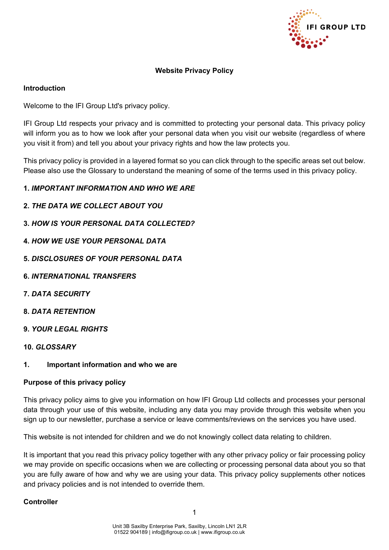

# **Website Privacy Policy**

## **Introduction**

Welcome to the IFI Group Ltd's privacy policy.

IFI Group Ltd respects your privacy and is committed to protecting your personal data. This privacy policy will inform you as to how we look after your personal data when you visit our website (regardless of where you visit it from) and tell you about your privacy rights and how the law protects you.

This privacy policy is provided in a layered format so you can click through to the specific areas set out below. Please also use the Glossary to understand the meaning of some of the terms used in this privacy policy.

## **1.** *IMPORTANT INFORMATION AND WHO WE ARE*

- **2.** *THE DATA WE COLLECT ABOUT YOU*
- **3.** *HOW IS YOUR PERSONAL DATA COLLECTED?*
- **4.** *HOW WE USE YOUR PERSONAL DATA*
- **5.** *DISCLOSURES OF YOUR PERSONAL DATA*
- **6.** *INTERNATIONAL TRANSFERS*
- **7.** *DATA SECURITY*
- **8.** *DATA RETENTION*
- **9.** *YOUR LEGAL RIGHTS*

## **10.** *GLOSSARY*

**1. Important information and who we are**

## **Purpose of this privacy policy**

This privacy policy aims to give you information on how IFI Group Ltd collects and processes your personal data through your use of this website, including any data you may provide through this website when you sign up to our newsletter, purchase a service or leave comments/reviews on the services you have used.

This website is not intended for children and we do not knowingly collect data relating to children.

It is important that you read this privacy policy together with any other privacy policy or fair processing policy we may provide on specific occasions when we are collecting or processing personal data about you so that you are fully aware of how and why we are using your data. This privacy policy supplements other notices and privacy policies and is not intended to override them.

## **Controller**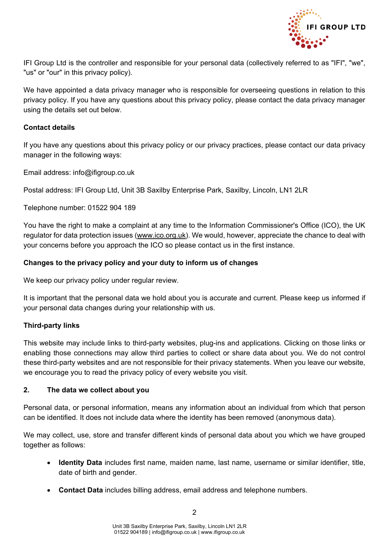

IFI Group Ltd is the controller and responsible for your personal data (collectively referred to as "IFI", "we", "us" or "our" in this privacy policy).

We have appointed a data privacy manager who is responsible for overseeing questions in relation to this privacy policy. If you have any questions about this privacy policy, please contact the data privacy manager using the details set out below.

## **Contact details**

If you have any questions about this privacy policy or our privacy practices, please contact our data privacy manager in the following ways:

Email address: info@ifigroup.co.uk

Postal address: IFI Group Ltd, Unit 3B Saxilby Enterprise Park, Saxilby, Lincoln, LN1 2LR

Telephone number: 01522 904 189

You have the right to make a complaint at any time to the Information Commissioner's Office (ICO), the UK regulator for data protection issues (www.ico.org.uk). We would, however, appreciate the chance to deal with your concerns before you approach the ICO so please contact us in the first instance.

#### **Changes to the privacy policy and your duty to inform us of changes**

We keep our privacy policy under regular review.

It is important that the personal data we hold about you is accurate and current. Please keep us informed if your personal data changes during your relationship with us.

## **Third-party links**

This website may include links to third-party websites, plug-ins and applications. Clicking on those links or enabling those connections may allow third parties to collect or share data about you. We do not control these third-party websites and are not responsible for their privacy statements. When you leave our website, we encourage you to read the privacy policy of every website you visit.

#### **2. The data we collect about you**

Personal data, or personal information, means any information about an individual from which that person can be identified. It does not include data where the identity has been removed (anonymous data).

We may collect, use, store and transfer different kinds of personal data about you which we have grouped together as follows:

- **Identity Data** includes first name, maiden name, last name, username or similar identifier, title, date of birth and gender.
- **Contact Data** includes billing address, email address and telephone numbers.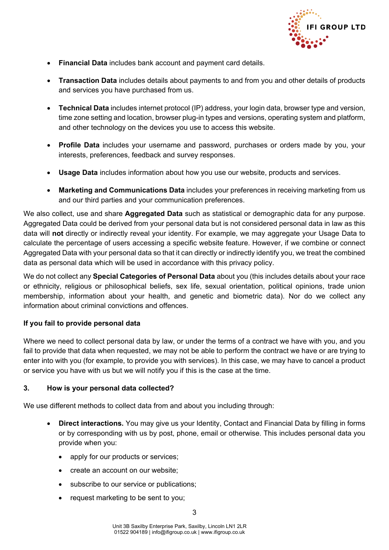

- **Financial Data** includes bank account and payment card details.
- **Transaction Data** includes details about payments to and from you and other details of products and services you have purchased from us.
- **Technical Data** includes internet protocol (IP) address, your login data, browser type and version, time zone setting and location, browser plug-in types and versions, operating system and platform, and other technology on the devices you use to access this website.
- **Profile Data** includes your username and password, purchases or orders made by you, your interests, preferences, feedback and survey responses.
- **Usage Data** includes information about how you use our website, products and services.
- **Marketing and Communications Data** includes your preferences in receiving marketing from us and our third parties and your communication preferences.

We also collect, use and share **Aggregated Data** such as statistical or demographic data for any purpose. Aggregated Data could be derived from your personal data but is not considered personal data in law as this data will **not** directly or indirectly reveal your identity. For example, we may aggregate your Usage Data to calculate the percentage of users accessing a specific website feature. However, if we combine or connect Aggregated Data with your personal data so that it can directly or indirectly identify you, we treat the combined data as personal data which will be used in accordance with this privacy policy.

We do not collect any **Special Categories of Personal Data** about you (this includes details about your race or ethnicity, religious or philosophical beliefs, sex life, sexual orientation, political opinions, trade union membership, information about your health, and genetic and biometric data). Nor do we collect any information about criminal convictions and offences.

## **If you fail to provide personal data**

Where we need to collect personal data by law, or under the terms of a contract we have with you, and you fail to provide that data when requested, we may not be able to perform the contract we have or are trying to enter into with you (for example, to provide you with services). In this case, we may have to cancel a product or service you have with us but we will notify you if this is the case at the time.

## **3. How is your personal data collected?**

We use different methods to collect data from and about you including through:

- **Direct interactions.** You may give us your Identity, Contact and Financial Data by filling in forms or by corresponding with us by post, phone, email or otherwise. This includes personal data you provide when you:
	- apply for our products or services;
	- create an account on our website;
	- subscribe to our service or publications;
	- request marketing to be sent to you;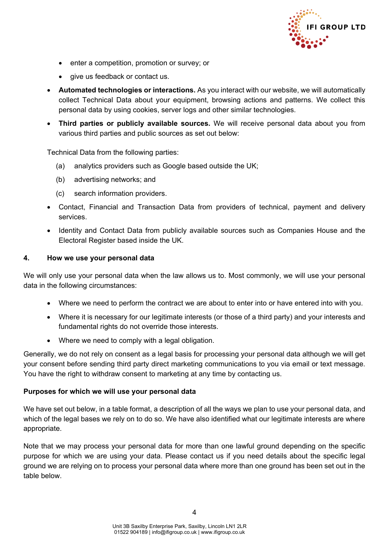

- enter a competition, promotion or survey; or
- give us feedback or contact us.
- **Automated technologies or interactions.** As you interact with our website, we will automatically collect Technical Data about your equipment, browsing actions and patterns. We collect this personal data by using cookies, server logs and other similar technologies.
- **Third parties or publicly available sources.** We will receive personal data about you from various third parties and public sources as set out below:

Technical Data from the following parties:

- (a) analytics providers such as Google based outside the UK;
- (b) advertising networks; and
- (c) search information providers.
- Contact, Financial and Transaction Data from providers of technical, payment and delivery services.
- Identity and Contact Data from publicly available sources such as Companies House and the Electoral Register based inside the UK.

#### **4. How we use your personal data**

We will only use your personal data when the law allows us to. Most commonly, we will use your personal data in the following circumstances:

- Where we need to perform the contract we are about to enter into or have entered into with you.
- Where it is necessary for our legitimate interests (or those of a third party) and your interests and fundamental rights do not override those interests.
- Where we need to comply with a legal obligation.

Generally, we do not rely on consent as a legal basis for processing your personal data although we will get your consent before sending third party direct marketing communications to you via email or text message. You have the right to withdraw consent to marketing at any time by contacting us.

## **Purposes for which we will use your personal data**

We have set out below, in a table format, a description of all the ways we plan to use your personal data, and which of the legal bases we rely on to do so. We have also identified what our legitimate interests are where appropriate.

Note that we may process your personal data for more than one lawful ground depending on the specific purpose for which we are using your data. Please contact us if you need details about the specific legal ground we are relying on to process your personal data where more than one ground has been set out in the table below.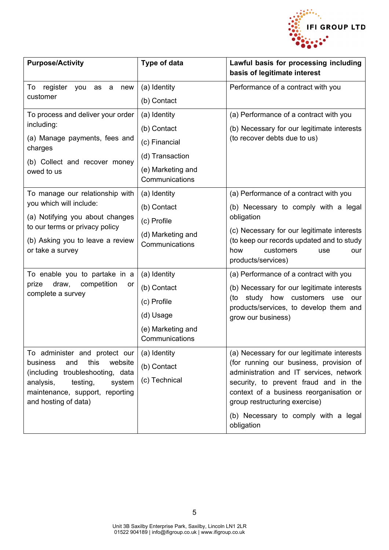

| <b>Purpose/Activity</b>                                                                                                                                                                                  | Type of data                                                                                                           | Lawful basis for processing including<br>basis of legitimate interest                                                                                                                                                                                                                                       |
|----------------------------------------------------------------------------------------------------------------------------------------------------------------------------------------------------------|------------------------------------------------------------------------------------------------------------------------|-------------------------------------------------------------------------------------------------------------------------------------------------------------------------------------------------------------------------------------------------------------------------------------------------------------|
| register<br>To<br>you<br>as<br>a<br>new<br>customer                                                                                                                                                      | (a) Identity<br>(b) Contact                                                                                            | Performance of a contract with you                                                                                                                                                                                                                                                                          |
| To process and deliver your order<br>including:<br>(a) Manage payments, fees and<br>charges<br>(b) Collect and recover money<br>owed to us<br>To manage our relationship with<br>you which will include: | (a) Identity<br>(b) Contact<br>(c) Financial<br>(d) Transaction<br>(e) Marketing and<br>Communications<br>(a) Identity | (a) Performance of a contract with you<br>(b) Necessary for our legitimate interests<br>(to recover debts due to us)<br>(a) Performance of a contract with you                                                                                                                                              |
| (a) Notifying you about changes<br>to our terms or privacy policy<br>(b) Asking you to leave a review<br>or take a survey                                                                                | (b) Contact<br>(c) Profile<br>(d) Marketing and<br>Communications                                                      | (b) Necessary to comply with a legal<br>obligation<br>(c) Necessary for our legitimate interests<br>(to keep our records updated and to study<br>customers<br>how<br>use<br>our<br>products/services)                                                                                                       |
| To enable you to partake in a<br>prize<br>competition<br>draw,<br>or<br>complete a survey                                                                                                                | (a) Identity<br>(b) Contact<br>(c) Profile<br>(d) Usage<br>(e) Marketing and<br>Communications                         | (a) Performance of a contract with you<br>(b) Necessary for our legitimate interests<br>study how<br>customers<br>(to<br>use<br>our<br>products/services, to develop them and<br>grow our business)                                                                                                         |
| To administer and protect our<br>business<br>this<br>website<br>and<br>troubleshooting, data<br>(including<br>testing,<br>analysis,<br>system<br>maintenance, support, reporting<br>and hosting of data) | (a) Identity<br>(b) Contact<br>(c) Technical                                                                           | (a) Necessary for our legitimate interests<br>(for running our business, provision of<br>administration and IT services, network<br>security, to prevent fraud and in the<br>context of a business reorganisation or<br>group restructuring exercise)<br>(b) Necessary to comply with a legal<br>obligation |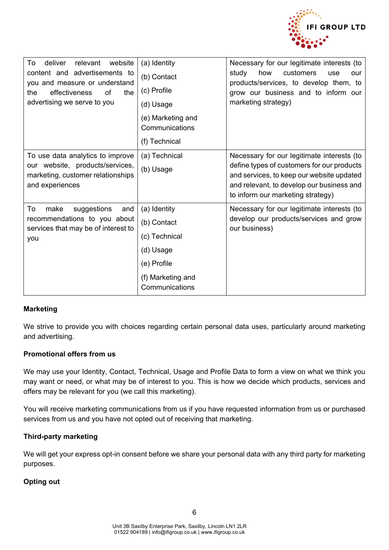

| website<br>To<br>deliver<br>relevant<br>content and advertisements to<br>you and measure or understand<br>effectiveness<br>of<br>the<br>the<br>advertising we serve to you | (a) Identity<br>(b) Contact<br>(c) Profile<br>(d) Usage<br>(e) Marketing and<br>Communications<br>(f) Technical | Necessary for our legitimate interests (to<br>study<br>how<br>customers<br>use<br>our<br>products/services, to develop them, to<br>grow our business and to inform our<br>marketing strategy)                           |
|----------------------------------------------------------------------------------------------------------------------------------------------------------------------------|-----------------------------------------------------------------------------------------------------------------|-------------------------------------------------------------------------------------------------------------------------------------------------------------------------------------------------------------------------|
| To use data analytics to improve<br>our website, products/services,<br>marketing, customer relationships<br>and experiences                                                | (a) Technical<br>(b) Usage                                                                                      | Necessary for our legitimate interests (to<br>define types of customers for our products<br>and services, to keep our website updated<br>and relevant, to develop our business and<br>to inform our marketing strategy) |
| make<br>suggestions<br>To<br>and<br>recommendations to you about<br>services that may be of interest to<br>you                                                             | (a) Identity<br>(b) Contact<br>(c) Technical<br>(d) Usage<br>(e) Profile<br>(f) Marketing and<br>Communications | Necessary for our legitimate interests (to<br>develop our products/services and grow<br>our business)                                                                                                                   |

# **Marketing**

We strive to provide you with choices regarding certain personal data uses, particularly around marketing and advertising.

## **Promotional offers from us**

We may use your Identity, Contact, Technical, Usage and Profile Data to form a view on what we think you may want or need, or what may be of interest to you. This is how we decide which products, services and offers may be relevant for you (we call this marketing).

You will receive marketing communications from us if you have requested information from us or purchased services from us and you have not opted out of receiving that marketing.

## **Third-party marketing**

We will get your express opt-in consent before we share your personal data with any third party for marketing purposes.

## **Opting out**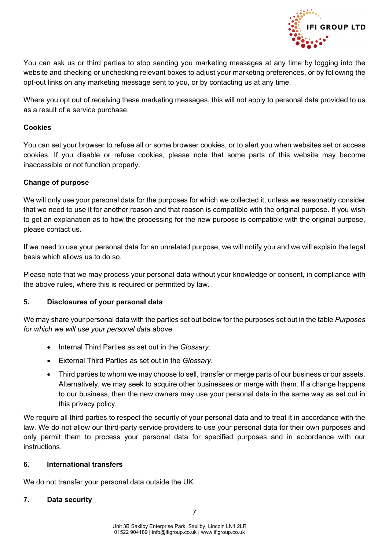

You can ask us or third parties to stop sending you marketing messages at any time by logging into the website and checking or unchecking relevant boxes to adjust your marketing preferences, or by following the opt-out links on any marketing message sent to you, or by contacting us at any time.

Where you opt out of receiving these marketing messages, this will not apply to personal data provided to us as a result of a service purchase.

## **Cookies**

You can set your browser to refuse all or some browser cookies, or to alert you when websites set or access cookies. If you disable or refuse cookies, please note that some parts of this website may become inaccessible or not function properly.

## **Change of purpose**

We will only use your personal data for the purposes for which we collected it, unless we reasonably consider that we need to use it for another reason and that reason is compatible with the original purpose. If you wish to get an explanation as to how the processing for the new purpose is compatible with the original purpose, please contact us.

If we need to use your personal data for an unrelated purpose, we will notify you and we will explain the legal basis which allows us to do so.

Please note that we may process your personal data without your knowledge or consent, in compliance with the above rules, where this is required or permitted by law.

## **5. Disclosures of your personal data**

We may share your personal data with the parties set out below for the purposes set out in the table *Purposes for which we will use your personal data* above.

- Internal Third Parties as set out in the *Glossary*.
- External Third Parties as set out in the *Glossary*.
- Third parties to whom we may choose to sell, transfer or merge parts of our business or our assets. Alternatively, we may seek to acquire other businesses or merge with them. If a change happens to our business, then the new owners may use your personal data in the same way as set out in this privacy policy.

We require all third parties to respect the security of your personal data and to treat it in accordance with the law. We do not allow our third-party service providers to use your personal data for their own purposes and only permit them to process your personal data for specified purposes and in accordance with our instructions.

#### **6. International transfers**

We do not transfer your personal data outside the UK.

## **7. Data security**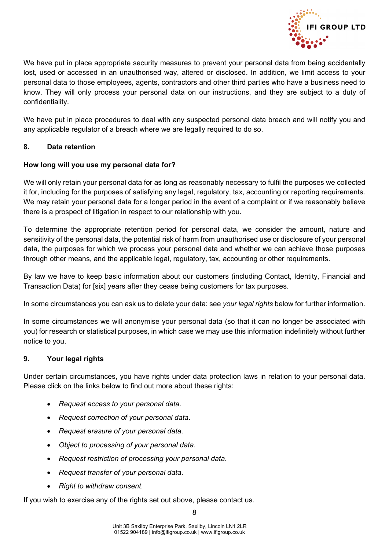

We have put in place appropriate security measures to prevent your personal data from being accidentally lost, used or accessed in an unauthorised way, altered or disclosed. In addition, we limit access to your personal data to those employees, agents, contractors and other third parties who have a business need to know. They will only process your personal data on our instructions, and they are subject to a duty of confidentiality.

We have put in place procedures to deal with any suspected personal data breach and will notify you and any applicable regulator of a breach where we are legally required to do so.

## **8. Data retention**

## **How long will you use my personal data for?**

We will only retain your personal data for as long as reasonably necessary to fulfil the purposes we collected it for, including for the purposes of satisfying any legal, regulatory, tax, accounting or reporting requirements. We may retain your personal data for a longer period in the event of a complaint or if we reasonably believe there is a prospect of litigation in respect to our relationship with you.

To determine the appropriate retention period for personal data, we consider the amount, nature and sensitivity of the personal data, the potential risk of harm from unauthorised use or disclosure of your personal data, the purposes for which we process your personal data and whether we can achieve those purposes through other means, and the applicable legal, regulatory, tax, accounting or other requirements.

By law we have to keep basic information about our customers (including Contact, Identity, Financial and Transaction Data) for [six] years after they cease being customers for tax purposes.

In some circumstances you can ask us to delete your data: see *your legal rights* below for further information.

In some circumstances we will anonymise your personal data (so that it can no longer be associated with you) for research or statistical purposes, in which case we may use this information indefinitely without further notice to you.

## **9. Your legal rights**

Under certain circumstances, you have rights under data protection laws in relation to your personal data. Please click on the links below to find out more about these rights:

- *Request access to your personal data*.
- *Request correction of your personal data*.
- *Request erasure of your personal data*.
- *Object to processing of your personal data*.
- *Request restriction of processing your personal data*.
- *Request transfer of your personal data*.
- *Right to withdraw consent*.

If you wish to exercise any of the rights set out above, please contact us.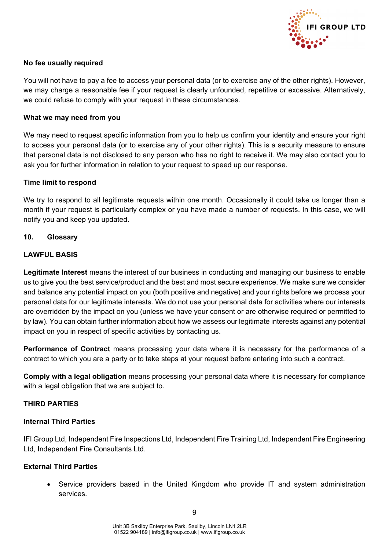

## **No fee usually required**

You will not have to pay a fee to access your personal data (or to exercise any of the other rights). However, we may charge a reasonable fee if your request is clearly unfounded, repetitive or excessive. Alternatively, we could refuse to comply with your request in these circumstances.

#### **What we may need from you**

We may need to request specific information from you to help us confirm your identity and ensure your right to access your personal data (or to exercise any of your other rights). This is a security measure to ensure that personal data is not disclosed to any person who has no right to receive it. We may also contact you to ask you for further information in relation to your request to speed up our response.

#### **Time limit to respond**

We try to respond to all legitimate requests within one month. Occasionally it could take us longer than a month if your request is particularly complex or you have made a number of requests. In this case, we will notify you and keep you updated.

#### **10. Glossary**

## **LAWFUL BASIS**

**Legitimate Interest** means the interest of our business in conducting and managing our business to enable us to give you the best service/product and the best and most secure experience. We make sure we consider and balance any potential impact on you (both positive and negative) and your rights before we process your personal data for our legitimate interests. We do not use your personal data for activities where our interests are overridden by the impact on you (unless we have your consent or are otherwise required or permitted to by law). You can obtain further information about how we assess our legitimate interests against any potential impact on you in respect of specific activities by contacting us.

**Performance of Contract** means processing your data where it is necessary for the performance of a contract to which you are a party or to take steps at your request before entering into such a contract.

**Comply with a legal obligation** means processing your personal data where it is necessary for compliance with a legal obligation that we are subject to.

## **THIRD PARTIES**

## **Internal Third Parties**

IFI Group Ltd, Independent Fire Inspections Ltd, Independent Fire Training Ltd, Independent Fire Engineering Ltd, Independent Fire Consultants Ltd.

## **External Third Parties**

• Service providers based in the United Kingdom who provide IT and system administration services.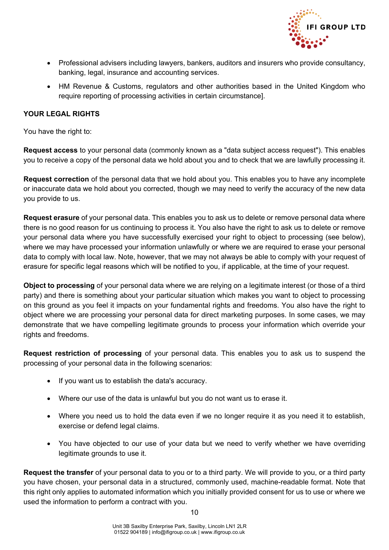

- Professional advisers including lawyers, bankers, auditors and insurers who provide consultancy, banking, legal, insurance and accounting services.
- HM Revenue & Customs, regulators and other authorities based in the United Kingdom who require reporting of processing activities in certain circumstance].

# **YOUR LEGAL RIGHTS**

You have the right to:

**Request access** to your personal data (commonly known as a "data subject access request"). This enables you to receive a copy of the personal data we hold about you and to check that we are lawfully processing it.

**Request correction** of the personal data that we hold about you. This enables you to have any incomplete or inaccurate data we hold about you corrected, though we may need to verify the accuracy of the new data you provide to us.

**Request erasure** of your personal data. This enables you to ask us to delete or remove personal data where there is no good reason for us continuing to process it. You also have the right to ask us to delete or remove your personal data where you have successfully exercised your right to object to processing (see below), where we may have processed your information unlawfully or where we are required to erase your personal data to comply with local law. Note, however, that we may not always be able to comply with your request of erasure for specific legal reasons which will be notified to you, if applicable, at the time of your request.

**Object to processing** of your personal data where we are relying on a legitimate interest (or those of a third party) and there is something about your particular situation which makes you want to object to processing on this ground as you feel it impacts on your fundamental rights and freedoms. You also have the right to object where we are processing your personal data for direct marketing purposes. In some cases, we may demonstrate that we have compelling legitimate grounds to process your information which override your rights and freedoms.

**Request restriction of processing** of your personal data. This enables you to ask us to suspend the processing of your personal data in the following scenarios:

- If you want us to establish the data's accuracy.
- Where our use of the data is unlawful but you do not want us to erase it.
- Where you need us to hold the data even if we no longer require it as you need it to establish, exercise or defend legal claims.
- You have objected to our use of your data but we need to verify whether we have overriding legitimate grounds to use it.

**Request the transfer** of your personal data to you or to a third party. We will provide to you, or a third party you have chosen, your personal data in a structured, commonly used, machine-readable format. Note that this right only applies to automated information which you initially provided consent for us to use or where we used the information to perform a contract with you.